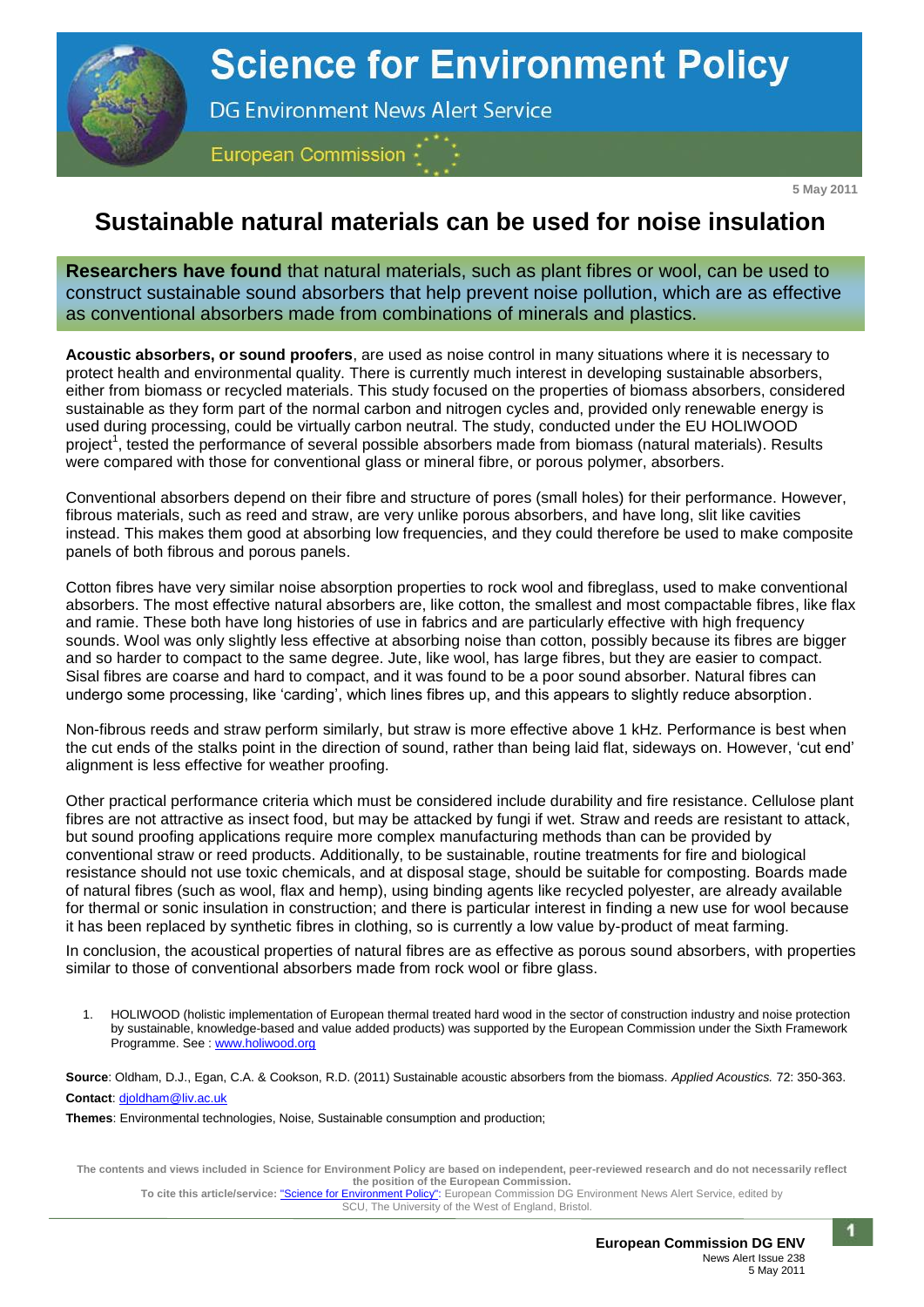

**5 May 2011**

## **Sustainable natural materials can be used for noise insulation**

**Researchers have found** that natural materials, such as plant fibres or wool, can be used to construct sustainable sound absorbers that help prevent noise pollution, which are as effective as conventional absorbers made from combinations of minerals and plastics.

**Acoustic absorbers, or sound proofers**, are used as noise control in many situations where it is necessary to protect health and environmental quality. There is currently much interest in developing sustainable absorbers, either from biomass or recycled materials. This study focused on the properties of biomass absorbers, considered sustainable as they form part of the normal carbon and nitrogen cycles and, provided only renewable energy is used during processing, could be virtually carbon neutral. The study, conducted under the EU HOLIWOOD project<sup>1</sup>, tested the performance of several possible absorbers made from biomass (natural materials). Results were compared with those for conventional glass or mineral fibre, or porous polymer, absorbers.

Conventional absorbers depend on their fibre and structure of pores (small holes) for their performance. However, fibrous materials, such as reed and straw, are very unlike porous absorbers, and have long, slit like cavities instead. This makes them good at absorbing low frequencies, and they could therefore be used to make composite panels of both fibrous and porous panels.

Cotton fibres have very similar noise absorption properties to rock wool and fibreglass, used to make conventional absorbers. The most effective natural absorbers are, like cotton, the smallest and most compactable fibres, like flax and ramie. These both have long histories of use in fabrics and are particularly effective with high frequency sounds. Wool was only slightly less effective at absorbing noise than cotton, possibly because its fibres are bigger and so harder to compact to the same degree. Jute, like wool, has large fibres, but they are easier to compact. Sisal fibres are coarse and hard to compact, and it was found to be a poor sound absorber. Natural fibres can undergo some processing, like 'carding', which lines fibres up, and this appears to slightly reduce absorption.

Non-fibrous reeds and straw perform similarly, but straw is more effective above 1 kHz. Performance is best when the cut ends of the stalks point in the direction of sound, rather than being laid flat, sideways on. However, 'cut end' alignment is less effective for weather proofing.

Other practical performance criteria which must be considered include durability and fire resistance. Cellulose plant fibres are not attractive as insect food, but may be attacked by fungi if wet. Straw and reeds are resistant to attack, but sound proofing applications require more complex manufacturing methods than can be provided by conventional straw or reed products. Additionally, to be sustainable, routine treatments for fire and biological resistance should not use toxic chemicals, and at disposal stage, should be suitable for composting. Boards made of natural fibres (such as wool, flax and hemp), using binding agents like recycled polyester, are already available for thermal or sonic insulation in construction; and there is particular interest in finding a new use for wool because it has been replaced by synthetic fibres in clothing, so is currently a low value by-product of meat farming.

In conclusion, the acoustical properties of natural fibres are as effective as porous sound absorbers, with properties similar to those of conventional absorbers made from rock wool or fibre glass.

1. HOLIWOOD (holistic implementation of European thermal treated hard wood in the sector of construction industry and noise protection by sustainable, knowledge-based and value added products) was supported by the European Commission under the Sixth Framework Programme. See [: www.holiwood.org](http://www.holiwood.org/)

**Source**: Oldham, D.J., Egan, C.A. & Cookson, R.D. (2011) Sustainable acoustic absorbers from the biomass. *Applied Acoustics.* 72: 350-363. **Contact**: [djoldham@liv.ac.uk](mailto:djoldham@liv.ac.uk) 

**Themes**: Environmental technologies, Noise, Sustainable consumption and production;

**The contents and views included in Science for Environment Policy are based on independent, peer-reviewed research and do not necessarily reflect the position of the European Commission.** 

**To cite this article/service:** "Science for Environment Policy": European Commission DG Environment News Alert Service, edited by SCU, The University of the West of England, Bristol.